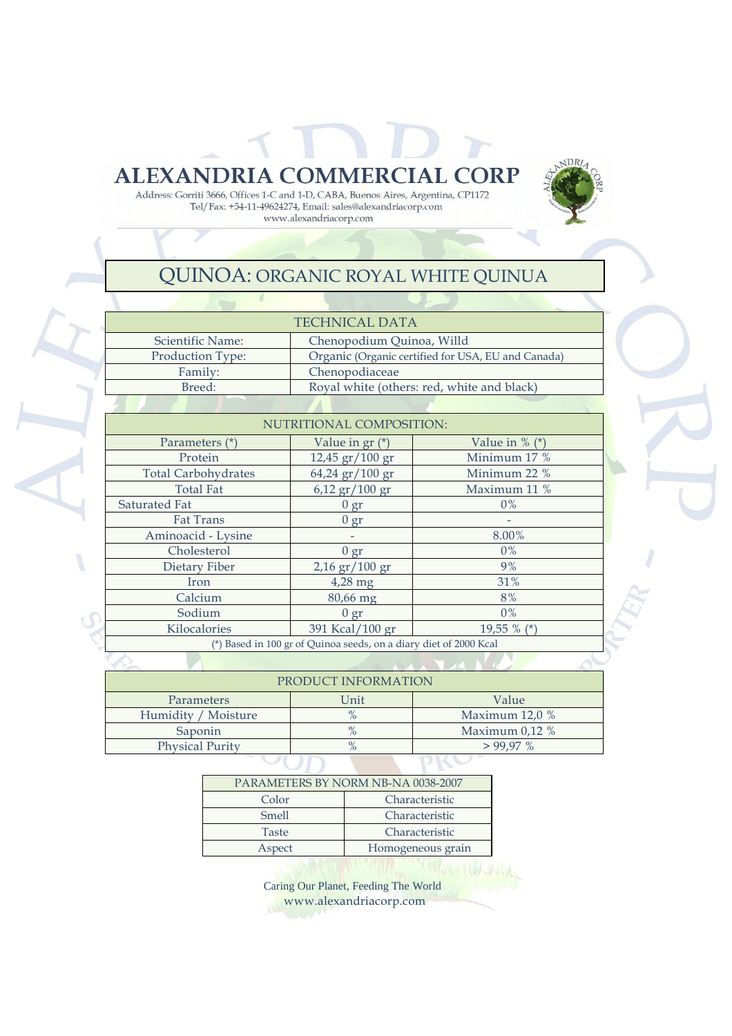**ALEXANDRIA COMMERCIAL CORP** Address: Gorriti 3666, Offices 1-C and 1-D, CABA, Buenos Aires, Argentina, CP1172 Tel/Fax: +54-11-49624274, Email: sales@alexandriacorp.com

## www.alexandriacorp.com

## QUINOA: ORGANIC ROYAL WHITE QUINUA

 $NDRL$ 

| <b>TECHNICAL DATA</b>                                             |                                                    |                  |  |  |  |  |  |  |
|-------------------------------------------------------------------|----------------------------------------------------|------------------|--|--|--|--|--|--|
| Scientific Name:                                                  | Chenopodium Quinoa, Willd                          |                  |  |  |  |  |  |  |
| Production Type:                                                  | Organic (Organic certified for USA, EU and Canada) |                  |  |  |  |  |  |  |
| Family:                                                           | Chenopodiaceae                                     |                  |  |  |  |  |  |  |
| Breed:                                                            | Royal white (others: red, white and black)         |                  |  |  |  |  |  |  |
|                                                                   |                                                    |                  |  |  |  |  |  |  |
|                                                                   | NUTRITIONAL COMPOSITION:                           |                  |  |  |  |  |  |  |
| Parameters (*)                                                    | Value in gr (*)                                    | Value in $%$ (*) |  |  |  |  |  |  |
| Protein                                                           | $12,45 \text{ gr} / 100 \text{ gr}$                | Minimum 17 %     |  |  |  |  |  |  |
| <b>Total Carbohydrates</b>                                        | $64,24$ gr/ $100$ gr                               | Minimum 22 %     |  |  |  |  |  |  |
| <b>Total Fat</b>                                                  | $6,12 \text{ gr} / 100 \text{ gr}$                 | Maximum 11 %     |  |  |  |  |  |  |
| Saturated Fat                                                     | 0 gr                                               | $0\%$            |  |  |  |  |  |  |
| <b>Fat Trans</b>                                                  | 0 gr                                               |                  |  |  |  |  |  |  |
| Aminoacid - Lysine                                                |                                                    |                  |  |  |  |  |  |  |
| Cholesterol                                                       | 0 gr                                               | $0\%$            |  |  |  |  |  |  |
| Dietary Fiber                                                     | $2,16$ gr $/100$ gr                                | 9%               |  |  |  |  |  |  |
| Iron                                                              | $4,28$ mg                                          | 31%              |  |  |  |  |  |  |
| Calcium                                                           | 80,66 mg                                           | 8%               |  |  |  |  |  |  |
| Sodium                                                            | 0 gr                                               | $0\%$            |  |  |  |  |  |  |
| Kilocalories                                                      | 391 Kcal/100 gr<br>19,55 % $(*)$                   |                  |  |  |  |  |  |  |
| (*) Based in 100 gr of Quinoa seeds, on a diary diet of 2000 Kcal |                                                    |                  |  |  |  |  |  |  |
|                                                                   |                                                    |                  |  |  |  |  |  |  |

| TRODOCT INTORNITION    |      |                  |  |  |  |
|------------------------|------|------------------|--|--|--|
| <b>Parameters</b>      | Unit | Value            |  |  |  |
| Humidity / Moisture    |      | Maximum $12.0\%$ |  |  |  |
| Saponin                |      | Maximum $0.12\%$ |  |  |  |
| <b>Physical Purity</b> | $\%$ | $>99.97\%$       |  |  |  |
|                        |      |                  |  |  |  |

| PARAMETERS BY NORM NB-NA 0038-2007 |                   |  |  |  |  |
|------------------------------------|-------------------|--|--|--|--|
| Color                              | Characteristic    |  |  |  |  |
| Smell                              | Characteristic    |  |  |  |  |
| Taste                              | Characteristic    |  |  |  |  |
| Aspect                             | Homogeneous grain |  |  |  |  |
|                                    |                   |  |  |  |  |

Caring Our Planet, Feeding The World www.alexandriacorp.com